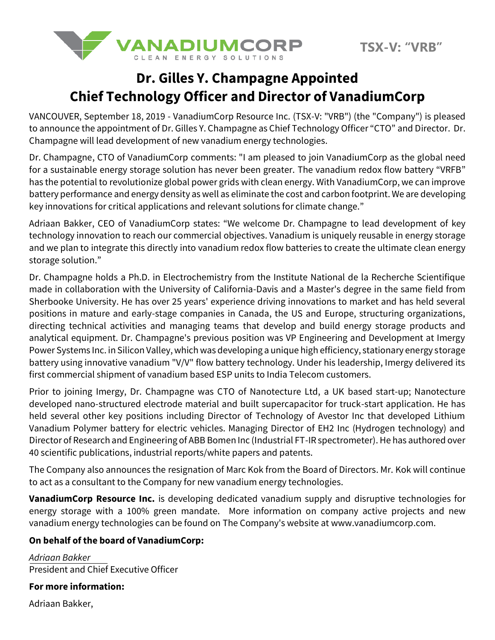

## **Dr. Gilles Y. Champagne Appointed Chief Technology Officer and Director of VanadiumCorp**

VANCOUVER, September 18, 2019 - VanadiumCorp Resource Inc. (TSX-V: "VRB") (the "Company") is pleased to announce the appointment of Dr. Gilles Y. Champagne as Chief Technology Officer "CTO" and Director. Dr. Champagne will lead development of new vanadium energy technologies.

Dr. Champagne, CTO of VanadiumCorp comments: "I am pleased to join VanadiumCorp as the global need for a sustainable energy storage solution has never been greater. The vanadium redox flow battery "VRFB" has the potential to revolutionize global power grids with clean energy. With VanadiumCorp, we can improve battery performance and energy density as well as eliminate the cost and carbon footprint. We are developing key innovations for critical applications and relevant solutions for climate change."

Adriaan Bakker, CEO of VanadiumCorp states: "We welcome Dr. Champagne to lead development of key technology innovation to reach our commercial objectives. Vanadium is uniquely reusable in energy storage and we plan to integrate this directly into vanadium redox flow batteries to create the ultimate clean energy storage solution."

Dr. Champagne holds a Ph.D. in Electrochemistry from the Institute National de la Recherche Scientifique made in collaboration with the University of California-Davis and a Master's degree in the same field from Sherbooke University. He has over 25 years' experience driving innovations to market and has held several positions in mature and early-stage companies in Canada, the US and Europe, structuring organizations, directing technical activities and managing teams that develop and build energy storage products and analytical equipment. Dr. Champagne's previous position was VP Engineering and Development at Imergy Power Systems Inc. in Silicon Valley, which was developing a unique high efficiency, stationary energy storage battery using innovative vanadium "V/V" flow battery technology. Under his leadership, Imergy delivered its first commercial shipment of vanadium based ESP units to India Telecom customers.

Prior to joining Imergy, Dr. Champagne was CTO of Nanotecture Ltd, a UK based start-up; Nanotecture developed nano-structured electrode material and built supercapacitor for truck-start application. He has held several other key positions including Director of Technology of Avestor Inc that developed Lithium Vanadium Polymer battery for electric vehicles. Managing Director of EH2 Inc (Hydrogen technology) and Director of Research and Engineering of ABB Bomen Inc (Industrial FT-IR spectrometer).He has authored over 40 scientific publications, industrial reports/white papers and patents.

The Company also announces the resignation of Marc Kok from the Board of Directors. Mr. Kok will continue to act as a consultant to the Company for new vanadium energy technologies.

**VanadiumCorp Resource Inc.** is developing dedicated vanadium supply and disruptive technologies for energy storage with a 100% green mandate. More information on company active projects and new vanadium energy technologies can be found on The Company's website a[t www.vanadiumcorp.com.](http://www.vanadiumcorp.com/)

## **On behalf of the board of VanadiumCorp:**

*Adriaan Bakker*  President and Chief Executive Officer

**For more information:**

Adriaan Bakker,